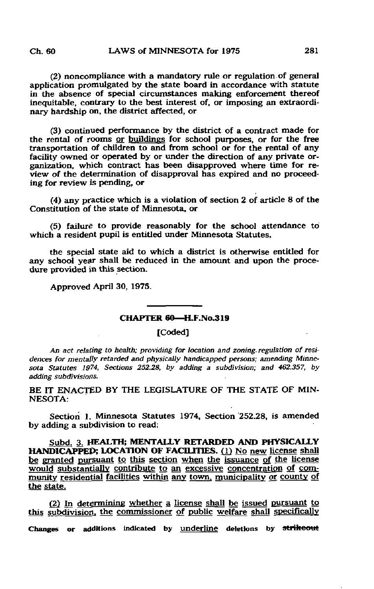(2) noncompliance with a mandatory rule or regulation of general application promulgated by the state board in accordance with statute in the absence of special circumstances making enforcement thereof inequitable, contrary to the best interest of, or imposing an extraordinary hardship on, the district affected, or

(3) continued performance by the district of a contract made for the rental of rooms or buildings for school purposes, or for the free transportation of children to and from school or for the rental of any facility owned or operated by or under the direction of any private organization, which contract has been disapproved where time for review of the determination of disapproval has expired and no proceeding for review is pending, or

(4) any practice which is a violation of section 2 of article 8 of the Constitution of the state of Minnesota, or

(5) failure to provide reasonably for the school attendance to which a resident pupil is entitled under Minnesota Statutes.

the special state aid to which a district is otherwise entitled for any school year shall be reduced in the amount and upon the procedure provided in this section.

Approved April 30, 1975.

## CHAPTER 60—H.F.No.319

[Coded]

An act relating to health; providing for location and zoning, regulation of residences for mentally retarded and physically handicapped persons; amending Minnesota Statutes 1974, Sections 252.28, by adding a subdivision; and 462.357, by adding subdivisions.

BE IT ENACTED BY THE LEGISLATURE OF THE STATE OF MIN-NESOTA:

Section 1. Minnesota Statutes 1974, Section 252.28, is amended by adding a subdivision to read:

Subd. 3, HEALTH; MENTALLY RETARDED AND PHYSICALLY HANDICAPPED; LOCATION OF FACILITIES. (1) No new license shall be granted pursuant to this section when the issuance of the license would substantially contribute to an excessive concentration of community residential facilities within any town, municipality or county of the state.

(2) In determining whether a license shall be issued pursuant to this subdivision, the commissioner of public welfare shall specifically

Changes or additions indicated by <u>underline</u> deletions by strikeout